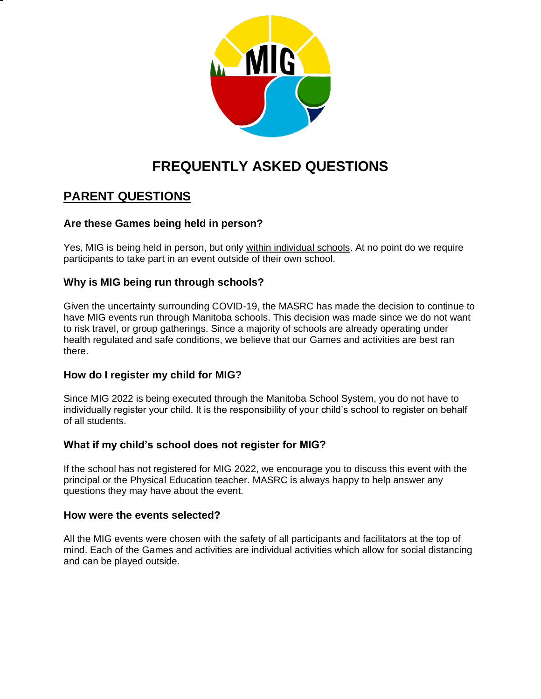

# **FREQUENTLY ASKED QUESTIONS**

## **PARENT QUESTIONS**

### **Are these Games being held in person?**

Yes, MIG is being held in person, but only within individual schools. At no point do we require participants to take part in an event outside of their own school.

### **Why is MIG being run through schools?**

Given the uncertainty surrounding COVID-19, the MASRC has made the decision to continue to have MIG events run through Manitoba schools. This decision was made since we do not want to risk travel, or group gatherings. Since a majority of schools are already operating under health regulated and safe conditions, we believe that our Games and activities are best ran there.

### **How do I register my child for MIG?**

Since MIG 2022 is being executed through the Manitoba School System, you do not have to individually register your child. It is the responsibility of your child's school to register on behalf of all students.

### **What if my child's school does not register for MIG?**

If the school has not registered for MIG 2022, we encourage you to discuss this event with the principal or the Physical Education teacher. MASRC is always happy to help answer any questions they may have about the event.

#### **How were the events selected?**

All the MIG events were chosen with the safety of all participants and facilitators at the top of mind. Each of the Games and activities are individual activities which allow for social distancing and can be played outside.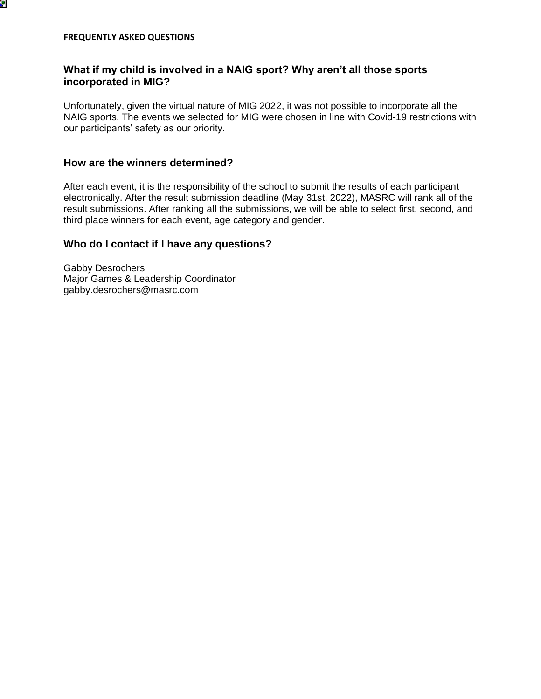

ď

### **What if my child is involved in a NAIG sport? Why aren't all those sports incorporated in MIG?**

Unfortunately, given the virtual nature of MIG 2022, it was not possible to incorporate all the NAIG sports. The events we selected for MIG were chosen in line with Covid-19 restrictions with our participants' safety as our priority.

#### **How are the winners determined?**

After each event, it is the responsibility of the school to submit the results of each participant electronically. After the result submission deadline (May 31st, 2022), MASRC will rank all of the result submissions. After ranking all the submissions, we will be able to select first, second, and third place winners for each event, age category and gender.

#### **Who do I contact if I have any questions?**

Gabby Desrochers Major Games & Leadership Coordinator gabby.desrochers@masrc.com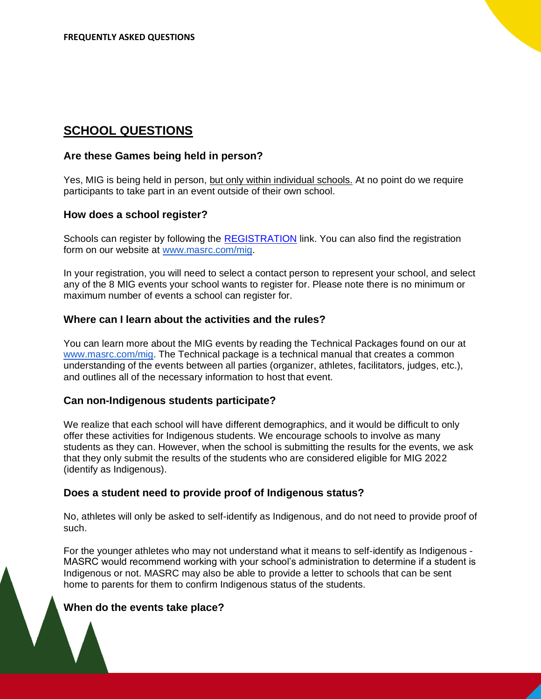### **SCHOOL QUESTIONS**

#### **Are these Games being held in person?**

Yes, MIG is being held in person, but only within individual schools. At no point do we require participants to take part in an event outside of their own school.

#### **How does a school register?**

Schools can register by following the [REGISTRATION](https://drive.google.com/file/d/1Os1o_FwK23Y6TopHRqcNsf6l42MiTSo8/view?usp=sharing) link. You can also find the registration form on our website at [www.masrc.com/mig.](http://www.masrc.com/mig)

In your registration, you will need to select a contact person to represent your school, and select any of the 8 MIG events your school wants to register for. Please note there is no minimum or maximum number of events a school can register for.

#### **Where can I learn about the activities and the rules?**

You can learn more about the MIG events by reading the Technical Packages found on our at [www.masrc.com/mig.](http://www.masrc.com/mig) The Technical package is a technical manual that creates a common understanding of the events between all parties (organizer, athletes, facilitators, judges, etc.), and outlines all of the necessary information to host that event.

#### **Can non-Indigenous students participate?**

We realize that each school will have different demographics, and it would be difficult to only offer these activities for Indigenous students. We encourage schools to involve as many students as they can. However, when the school is submitting the results for the events, we ask that they only submit the results of the students who are considered eligible for MIG 2022 (identify as Indigenous).

#### **Does a student need to provide proof of Indigenous status?**

No, athletes will only be asked to self-identify as Indigenous, and do not need to provide proof of such.

For the younger athletes who may not understand what it means to self-identify as Indigenous - MASRC would recommend working with your school's administration to determine if a student is Indigenous or not. MASRC may also be able to provide a letter to schools that can be sent home to parents for them to confirm Indigenous status of the students.

### **When do the events take place?**